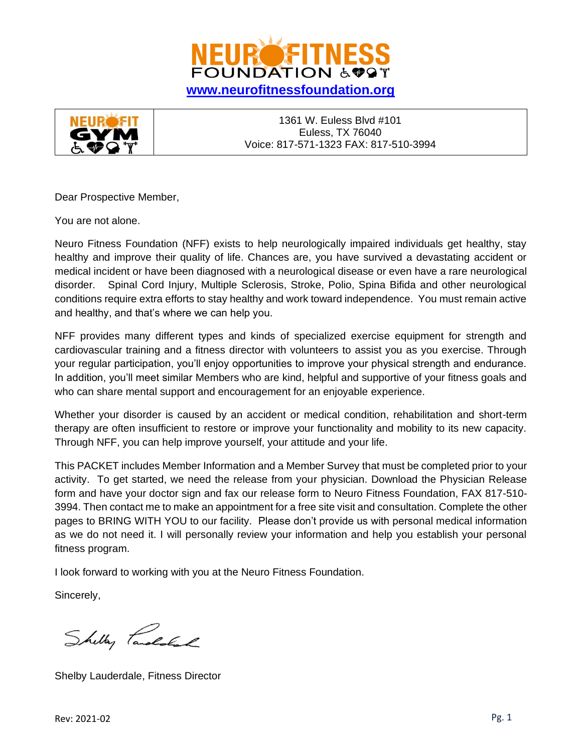



Dear Prospective Member,

You are not alone.

Neuro Fitness Foundation (NFF) exists to help neurologically impaired individuals get healthy, stay healthy and improve their quality of life. Chances are, you have survived a devastating accident or medical incident or have been diagnosed with a neurological disease or even have a rare neurological disorder. Spinal Cord Injury, Multiple Sclerosis, Stroke, Polio, Spina Bifida and other neurological conditions require extra efforts to stay healthy and work toward independence. You must remain active and healthy, and that's where we can help you.

NFF provides many different types and kinds of specialized exercise equipment for strength and cardiovascular training and a fitness director with volunteers to assist you as you exercise. Through your regular participation, you'll enjoy opportunities to improve your physical strength and endurance. In addition, you'll meet similar Members who are kind, helpful and supportive of your fitness goals and who can share mental support and encouragement for an enjoyable experience.

Whether your disorder is caused by an accident or medical condition, rehabilitation and short-term therapy are often insufficient to restore or improve your functionality and mobility to its new capacity. Through NFF, you can help improve yourself, your attitude and your life.

This PACKET includes Member Information and a Member Survey that must be completed prior to your activity. To get started, we need the release from your physician. Download the Physician Release form and have your doctor sign and fax our release form to Neuro Fitness Foundation, FAX 817-510- 3994. Then contact me to make an appointment for a free site visit and consultation. Complete the other pages to BRING WITH YOU to our facility. Please don't provide us with personal medical information as we do not need it. I will personally review your information and help you establish your personal fitness program.

I look forward to working with you at the Neuro Fitness Foundation.

Sincerely,

Shelly Parolskal

Shelby Lauderdale, Fitness Director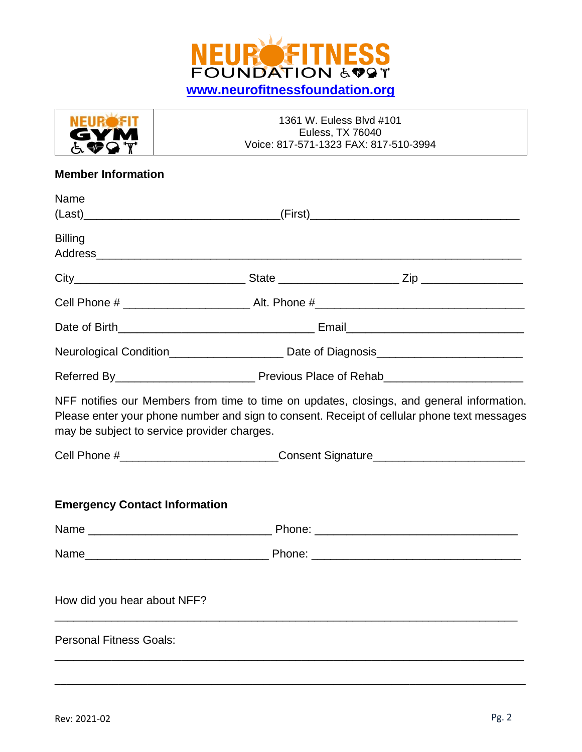

| NEIR EIT    | 1361 W. Euless Blvd #101              |
|-------------|---------------------------------------|
| <b>GYM</b>  | Euless, TX 76040                      |
| <b>ATQT</b> | Voice: 817-571-1323 FAX: 817-510-3994 |

### **Member Information**

| Name                                        |  |                                                                                                                                                                                          |
|---------------------------------------------|--|------------------------------------------------------------------------------------------------------------------------------------------------------------------------------------------|
| <b>Billing</b>                              |  |                                                                                                                                                                                          |
|                                             |  |                                                                                                                                                                                          |
|                                             |  |                                                                                                                                                                                          |
|                                             |  |                                                                                                                                                                                          |
|                                             |  | Neurological Condition________________________ Date of Diagnosis_________________                                                                                                        |
|                                             |  |                                                                                                                                                                                          |
| may be subject to service provider charges. |  | NFF notifies our Members from time to time on updates, closings, and general information.<br>Please enter your phone number and sign to consent. Receipt of cellular phone text messages |
|                                             |  | Cell Phone #_____________________________Consent Signature______________________                                                                                                         |
| <b>Emergency Contact Information</b>        |  |                                                                                                                                                                                          |
|                                             |  |                                                                                                                                                                                          |
|                                             |  |                                                                                                                                                                                          |
| How did you hear about NFF?                 |  |                                                                                                                                                                                          |
| <b>Personal Fitness Goals:</b>              |  |                                                                                                                                                                                          |
|                                             |  |                                                                                                                                                                                          |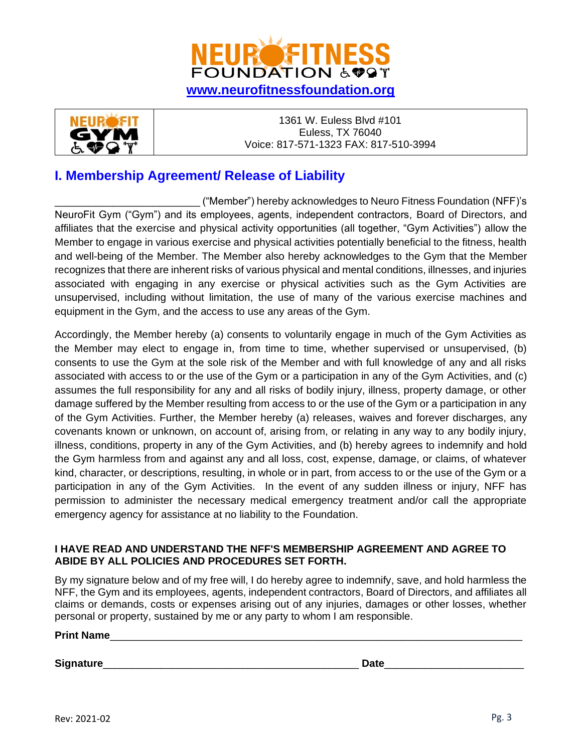



# **I. Membership Agreement/ Release of Liability**

\_\_\_\_\_\_\_\_\_\_\_\_\_\_\_\_\_\_\_\_\_\_\_\_\_ ("Member") hereby acknowledges to Neuro Fitness Foundation (NFF)'s NeuroFit Gym ("Gym") and its employees, agents, independent contractors, Board of Directors, and affiliates that the exercise and physical activity opportunities (all together, "Gym Activities") allow the Member to engage in various exercise and physical activities potentially beneficial to the fitness, health and well-being of the Member. The Member also hereby acknowledges to the Gym that the Member recognizes that there are inherent risks of various physical and mental conditions, illnesses, and injuries associated with engaging in any exercise or physical activities such as the Gym Activities are unsupervised, including without limitation, the use of many of the various exercise machines and equipment in the Gym, and the access to use any areas of the Gym.

Accordingly, the Member hereby (a) consents to voluntarily engage in much of the Gym Activities as the Member may elect to engage in, from time to time, whether supervised or unsupervised, (b) consents to use the Gym at the sole risk of the Member and with full knowledge of any and all risks associated with access to or the use of the Gym or a participation in any of the Gym Activities, and (c) assumes the full responsibility for any and all risks of bodily injury, illness, property damage, or other damage suffered by the Member resulting from access to or the use of the Gym or a participation in any of the Gym Activities. Further, the Member hereby (a) releases, waives and forever discharges, any covenants known or unknown, on account of, arising from, or relating in any way to any bodily injury, illness, conditions, property in any of the Gym Activities, and (b) hereby agrees to indemnify and hold the Gym harmless from and against any and all loss, cost, expense, damage, or claims, of whatever kind, character, or descriptions, resulting, in whole or in part, from access to or the use of the Gym or a participation in any of the Gym Activities. In the event of any sudden illness or injury, NFF has permission to administer the necessary medical emergency treatment and/or call the appropriate emergency agency for assistance at no liability to the Foundation.

#### **I HAVE READ AND UNDERSTAND THE NFF'S MEMBERSHIP AGREEMENT AND AGREE TO ABIDE BY ALL POLICIES AND PROCEDURES SET FORTH.**

By my signature below and of my free will, I do hereby agree to indemnify, save, and hold harmless the NFF, the Gym and its employees, agents, independent contractors, Board of Directors, and affiliates all claims or demands, costs or expenses arising out of any injuries, damages or other losses, whether personal or property, sustained by me or any party to whom I am responsible.

#### **Print Name**\_\_\_\_\_\_\_\_\_\_\_\_\_\_\_\_\_\_\_\_\_\_\_\_\_\_\_\_\_\_\_\_\_\_\_\_\_\_\_\_\_\_\_\_\_\_\_\_\_\_\_\_\_\_\_\_\_\_\_\_\_\_\_\_\_\_\_\_\_\_\_

**Signature**\_\_\_\_\_\_\_\_\_\_\_\_\_\_\_\_\_\_\_\_\_\_\_\_\_\_\_\_\_\_\_\_\_\_\_\_\_\_\_\_\_\_\_\_ **Date**\_\_\_\_\_\_\_\_\_\_\_\_\_\_\_\_\_\_\_\_\_\_\_\_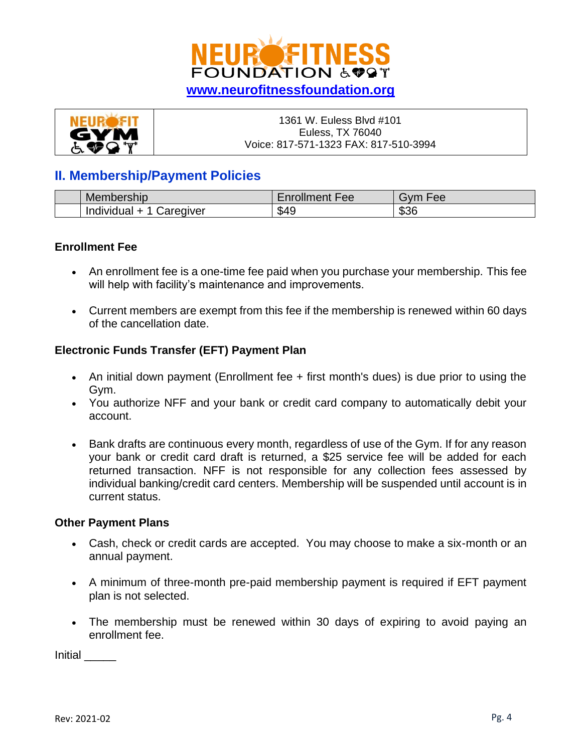

| <b>NEUROFIT</b> | 1361 W. Euless Blvd #101              |
|-----------------|---------------------------------------|
| <b>GYM</b>      | Euless, TX 76040                      |
| <b>ACCT</b>     | Voice: 817-571-1323 FAX: 817-510-3994 |

### **II. Membership/Payment Policies**

| Membership<br>persnip   | . .<br>$-$ neollmant<br>ree<br>roiiment | $\overline{\phantom{a}}$<br>⊦ee<br>וער |
|-------------------------|-----------------------------------------|----------------------------------------|
| Caregiver<br>Individual | \$49                                    | ጠጣጣ<br>১১৫                             |

### **Enrollment Fee**

- An enrollment fee is a one-time fee paid when you purchase your membership. This fee will help with facility's maintenance and improvements.
- Current members are exempt from this fee if the membership is renewed within 60 days of the cancellation date.

### **Electronic Funds Transfer (EFT) Payment Plan**

- An initial down payment (Enrollment fee + first month's dues) is due prior to using the Gym.
- You authorize NFF and your bank or credit card company to automatically debit your account.
- Bank drafts are continuous every month, regardless of use of the Gym. If for any reason your bank or credit card draft is returned, a \$25 service fee will be added for each returned transaction. NFF is not responsible for any collection fees assessed by individual banking/credit card centers. Membership will be suspended until account is in current status.

### **Other Payment Plans**

- Cash, check or credit cards are accepted. You may choose to make a six-month or an annual payment.
- A minimum of three-month pre-paid membership payment is required if EFT payment plan is not selected.
- The membership must be renewed within 30 days of expiring to avoid paying an enrollment fee.

Initial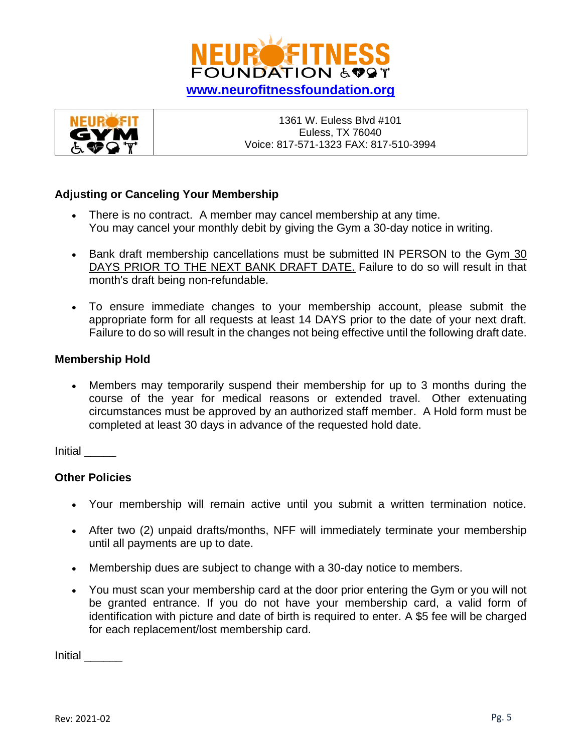



### **Adjusting or Canceling Your Membership**

- There is no contract. A member may cancel membership at any time. You may cancel your monthly debit by giving the Gym a 30-day notice in writing.
- Bank draft membership cancellations must be submitted IN PERSON to the Gym 30 DAYS PRIOR TO THE NEXT BANK DRAFT DATE. Failure to do so will result in that month's draft being non-refundable.
- To ensure immediate changes to your membership account, please submit the appropriate form for all requests at least 14 DAYS prior to the date of your next draft. Failure to do so will result in the changes not being effective until the following draft date.

#### **Membership Hold**

• Members may temporarily suspend their membership for up to 3 months during the course of the year for medical reasons or extended travel. Other extenuating circumstances must be approved by an authorized staff member. A Hold form must be completed at least 30 days in advance of the requested hold date.

Initial \_\_\_\_\_

### **Other Policies**

- Your membership will remain active until you submit a written termination notice.
- After two (2) unpaid drafts/months, NFF will immediately terminate your membership until all payments are up to date.
- Membership dues are subject to change with a 30-day notice to members.
- You must scan your membership card at the door prior entering the Gym or you will not be granted entrance. If you do not have your membership card, a valid form of identification with picture and date of birth is required to enter. A \$5 fee will be charged for each replacement/lost membership card.

Initial \_\_\_\_\_\_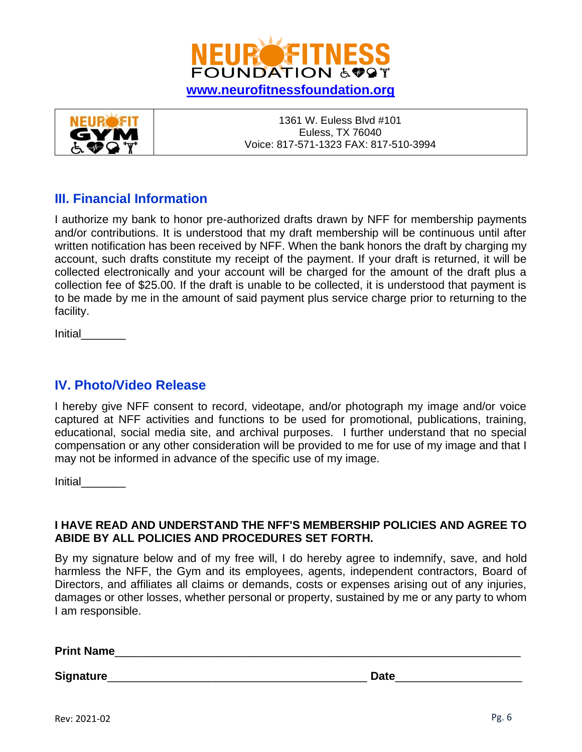



## **III. Financial Information**

I authorize my bank to honor pre-authorized drafts drawn by NFF for membership payments and/or contributions. It is understood that my draft membership will be continuous until after written notification has been received by NFF. When the bank honors the draft by charging my account, such drafts constitute my receipt of the payment. If your draft is returned, it will be collected electronically and your account will be charged for the amount of the draft plus a collection fee of \$25.00. If the draft is unable to be collected, it is understood that payment is to be made by me in the amount of said payment plus service charge prior to returning to the facility.

Initial

## **IV. Photo/Video Release**

I hereby give NFF consent to record, videotape, and/or photograph my image and/or voice captured at NFF activities and functions to be used for promotional, publications, training, educational, social media site, and archival purposes. I further understand that no special compensation or any other consideration will be provided to me for use of my image and that I may not be informed in advance of the specific use of my image.

Initial\_\_\_\_\_\_\_

### **I HAVE READ AND UNDERSTAND THE NFF'S MEMBERSHIP POLICIES AND AGREE TO ABIDE BY ALL POLICIES AND PROCEDURES SET FORTH.**

By my signature below and of my free will, I do hereby agree to indemnify, save, and hold harmless the NFF, the Gym and its employees, agents, independent contractors, Board of Directors, and affiliates all claims or demands, costs or expenses arising out of any injuries, damages or other losses, whether personal or property, sustained by me or any party to whom I am responsible.

**Print Name**\_\_\_\_\_\_\_\_\_\_\_\_\_\_\_\_\_\_\_\_\_\_\_\_\_\_\_\_\_\_\_\_\_\_\_\_\_\_\_\_\_\_\_\_\_\_\_\_\_\_\_\_\_\_\_\_\_\_\_\_\_\_\_\_

**Signature**\_\_\_\_\_\_\_\_\_\_\_\_\_\_\_\_\_\_\_\_\_\_\_\_\_\_\_\_\_\_\_\_\_\_\_\_\_\_\_\_\_ **Date**\_\_\_\_\_\_\_\_\_\_\_\_\_\_\_\_\_\_\_\_